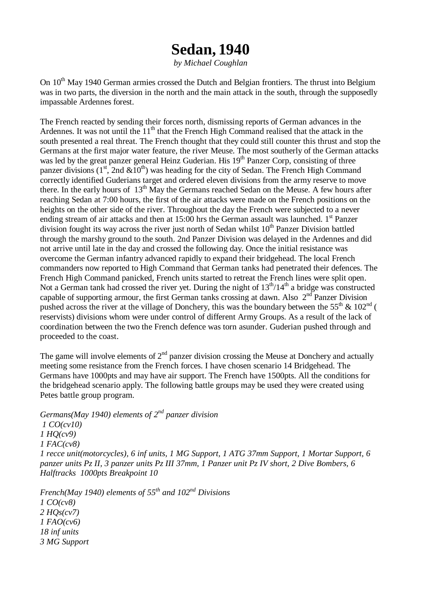## **Sedan, 1940**

*by Michael Coughlan*

On 10<sup>th</sup> May 1940 German armies crossed the Dutch and Belgian frontiers. The thrust into Belgium was in two parts, the diversion in the north and the main attack in the south, through the supposedly impassable Ardennes forest.

The French reacted by sending their forces north, dismissing reports of German advances in the Ardennes. It was not until the  $11<sup>th</sup>$  that the French High Command realised that the attack in the south presented a real threat. The French thought that they could still counter this thrust and stop the Germans at the first major water feature, the river Meuse. The most southerly of the German attacks was led by the great panzer general Heinz Guderian. His  $19<sup>th</sup>$  Panzer Corp, consisting of three panzer divisions (1<sup>st</sup>, 2nd  $&10^{th}$ ) was heading for the city of Sedan. The French High Command correctly identified Guderians target and ordered eleven divisions from the army reserve to move there. In the early hours of  $13<sup>th</sup>$  May the Germans reached Sedan on the Meuse. A few hours after reaching Sedan at 7:00 hours, the first of the air attacks were made on the French positions on the heights on the other side of the river. Throughout the day the French were subjected to a never ending stream of air attacks and then at 15:00 hrs the German assault was launched.  $1<sup>st</sup>$  Panzer division fought its way across the river just north of Sedan whilst  $10<sup>th</sup>$  Panzer Division battled through the marshy ground to the south. 2nd Panzer Division was delayed in the Ardennes and did not arrive until late in the day and crossed the following day. Once the initial resistance was overcome the German infantry advanced rapidly to expand their bridgehead. The local French commanders now reported to High Command that German tanks had penetrated their defences. The French High Command panicked, French units started to retreat the French lines were split open. Not a German tank had crossed the river yet. During the night of  $13<sup>th</sup>/14<sup>th</sup>$  a bridge was constructed capable of supporting armour, the first German tanks crossing at dawn. Also  $2<sup>nd</sup>$  Panzer Division pushed across the river at the village of Donchery, this was the boundary between the  $55^{th}$  &  $102^{nd}$  ( reservists) divisions whom were under control of different Army Groups. As a result of the lack of coordination between the two the French defence was torn asunder. Guderian pushed through and proceeded to the coast.

The game will involve elements of  $2<sup>nd</sup>$  panzer division crossing the Meuse at Donchery and actually meeting some resistance from the French forces. I have chosen scenario 14 Bridgehead. The Germans have 1000pts and may have air support. The French have 1500pts. All the conditions for the bridgehead scenario apply. The following battle groups may be used they were created using Petes battle group program.

*Germans(May 1940) elements of 2nd panzer division 1 CO(cv10) 1 HQ(cv9) 1 FAC(cv8) 1 recce unit(motorcycles), 6 inf units, 1 MG Support, 1 ATG 37mm Support, 1 Mortar Support, 6 panzer units Pz II, 3 panzer units Pz III 37mm, 1 Panzer unit Pz IV short, 2 Dive Bombers, 6 Halftracks 1000pts Breakpoint 10*

*French(May 1940) elements of 55th and 102nd Divisions 1 CO(cv8) 2 HQs(cv7) 1 FAO(cv6) 18 inf units 3 MG Support*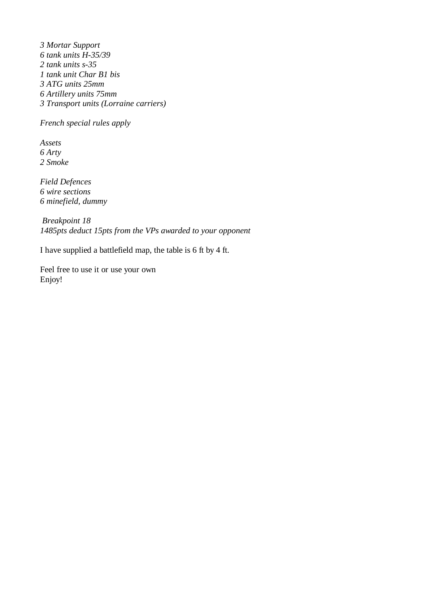*3 Mortar Support 6 tank units H-35/39 2 tank units s-35 1 tank unit Char B1 bis 3 ATG units 25mm 6 Artillery units 75mm 3 Transport units (Lorraine carriers)*

*French special rules apply*

*Assets 6 Arty 2 Smoke*

*Field Defences 6 wire sections 6 minefield, dummy*

 *Breakpoint 18 1485pts deduct 15pts from the VPs awarded to your opponent*

I have supplied a battlefield map, the table is 6 ft by 4 ft.

Feel free to use it or use your own Enjoy!